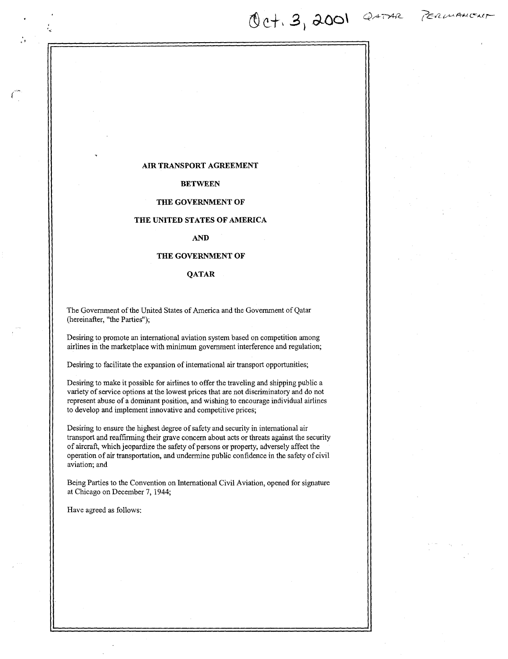# $0$ ct. 3, 2001  $24742$

PERMANCIENT

## AIR TRANSPORT AGREEMENT

## BETWEEN

# THE GOVERNMENT OF

# THE UNITED STATES OF AMERICA

## AND

## THE GOVERNMENT OF

## QATAR

The Government of the United States of America and the Government of Qatar (hereinafter, "the Parties");

Desiring to promote an international aviation system based on competition among airlines in the marketplace with minimum government interference and regulation;

Desiring to facilitate the expansion of international air transport opportunities;

Desiring to make it possible for airlines to offer the traveling and shipping public a variety of service options at the lowest prices that are not discriminatory and do not represent abuse of a dominant position, and wishing to encourage individual airlines to develop and implement innovative and competitive prices;

Desiring to ensure the highest degree of safety and security in international air transport and reaffirming their grave concern about acts or threats against the security of aircraft, which jeopardize the safety of persons or property, adversely affect the operation of air transportation, and undermine public confidence in the safety of civil aviation; and

Being Parties to the Convention on International Civil Aviation, opened for signature at Chicago on December 7, 1944 ;

Have agreed as follows: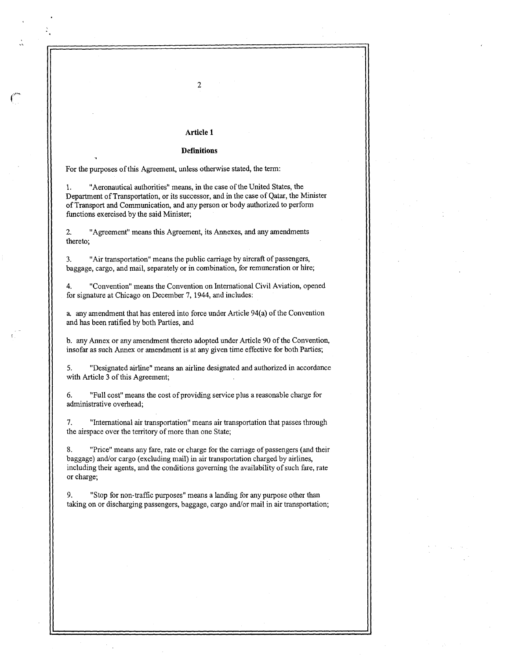$\overline{2}$ 

# Definitions

For the purposes of this Agreement, unless otherwise stated, the term :

 

1 . "Aeronautical authorities" means, in the case of the United States, the Department of Transportation, or its successor, and in the case of Qatar, the Minister of Transport and Communication, and any person or body authorized to perform functions exercised by the said Minister;

2 . "Agreement" means this Agreement, its Annexes, and any amendments thereto ;

3 . "Air transportation" means the public carriage by aircraft of passengers, baggage, cargo, and mail, separately or in combination, for remuneration or hire;

4. "Convention" means the Convention on International Civil Aviation, opened for signature at Chicago on December 7, 1944, and includes :

a. any amendment that has entered into force under Article 94(a) of the Convention and has been ratified by both Parties, and

b. any Annex or any amendment thereto adopted under Article 90 of the Convention, insofar as such Annex or amendment is at any given time effective for both Parties;

5 . "Designated airline" means an airline designated and authorized in accordance with Article 3 of this Agreement;

6 . "Full cost" means the cost of providing service plus a reasonable charge for administrative overhead;

7 . "International air transportation" means air transportation that passes through the airspace over the territory of more than one State;

8 . "Price" means any fare, rate or charge for the carriage of passengers (and their baggage) and/or cargo (excluding mail) in air transportation charged by airlines, including their agents, and the conditions governing the availability of such fare, rate or charge;

9 . "Stop for non-traffic purposes" means a landing for any purpose other than taking on or discharging passengers, baggage, cargo and/or mail in air transportation;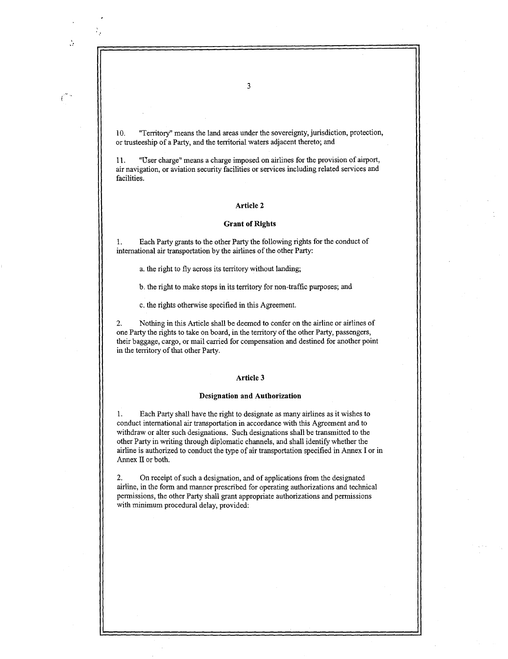10. "Territory" means the land areas under the sovereignty, jurisdiction, protection, or trusteeship of a Party, and the territorial waters adjacent thereto ; and

11 . "User charge" means a charge imposed on airlines for the provision of airport, air navigation, or aviation security facilities or services including related services and facilities.

# Article 2

## Grant of Rights

1 . Each Party grants to the other Party the following rights for the conduct of international air transportation by the airlines of the other Party :

a. the right to fly across its territory without landing;

b. the right to make stops in its territory for non-traffic purposes; and

c. the rights otherwise specified in this Agreement.

2 . Nothing in this Article shall be deemed to confer on the airline or airlines of one Party the rights to take on board, in the territory of the other Party, passengers, their baggage, cargo, or mail carried for compensation and destined for another point in the territory of that other Party.

#### Article 3

#### Designation and Authorization

1 . Each Party shall have the right to designate as many airlines as it wishes to conduct international air transportation in accordance with this Agreement and to withdraw or alter such designations . Such designations shall be transmitted to the other Party in writing through diplomatic channels, and shall identify whether the airline is authorized to conduct the type of air transportation specified in Annex I or in Annex II or both.

2. On receipt of such a designation, and of applications from the designated airline, in the form and manner prescribed for operating authorizations and technical permissions, the other Party shall grant appropriate authorizations and permissions with minimum procedural delay, provided: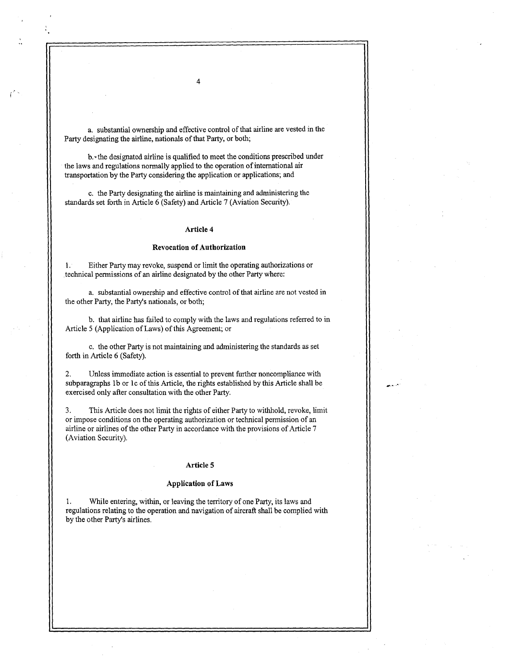a . substantial ownership and effective control of that airline are vested in the Party designating the airline, nationals of that Party, or both;

4

 

b.  $\cdot$  the designated airline is qualified to meet the conditions prescribed under the laws and regulations normally applied to the operation of international air transportation by the Party considering the application or applications ; and

c . the Party designating the airline is maintaining and administering the standards set forth in Article 6 (Safety) and Article 7 (Aviation Security) .

## Article 4

## Revocation of Authorization

1 . Either Party may revoke, suspend or limit the operating authorizations or .technical permissions of an airline designated by the other Party where :

a. substantial ownership and effective control of that airline are not vested in the other Party, the Party's nationals, or both;

b . that airline has failed to comply with the laws and regulations referred to in Article 5 (Application of Laws) of this Agreement; or

c. the other Party is not maintaining and administering the standards as set forth in Article 6 (Safety).

2. Unless immediate action is essential to prevent further noncompliance with subparagraphs 1b or 1c of this Article, the rights established by this Article shall be exercised only after consultation with the other Party.

3 . This Article does not limit the rights of either Party to withhold, revoke, limit or impose conditions on the operating authorization or technical permission of an airline or airlines of the other Party in accordance with the provisions of Article 7 (Aviation Security) .

## Article 5

#### Application of Laws

1. While entering, within, or leaving the territory of one Party, its laws and regulations relating to the operation and navigation of aircraft shall be complied with by the other Party's airlines .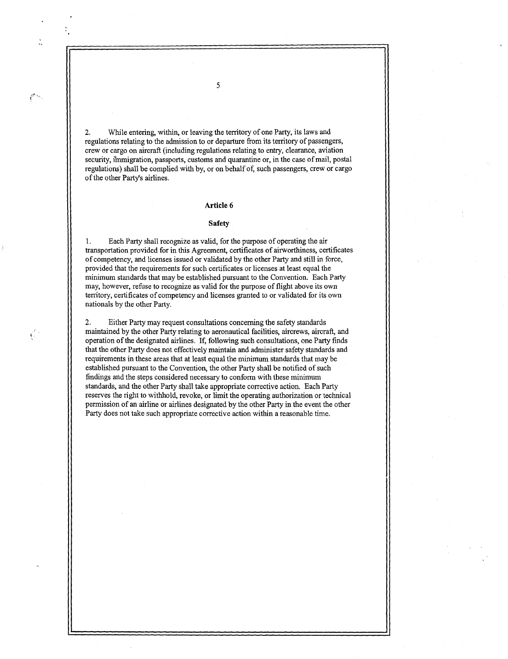2. While entering, within, or leaving the territory of one Party, its laws and regulations relating to the admission to or departure from its territory of passengers, crew or cargo on aircraft (including regulations relating to entry, clearance, aviation security, immigration, passports, customs and quarantine or, in the case of mail, postal regulations) shall be complied with by, or on behalf of, such passengers, crew or cargo of the other Party's airlines .

## Article 6

#### Safety

1 . Each Party shall recognize as valid, for the purpose of operating the air transportation provided for in this Agreement, certificates of airworthiness, certificates of competency, and licenses issued or validated by the other Party and still in force, provided that the requirements for such certificates or licenses at least equal the minimum standards that may be established pursuant to the Convention . Each Party may, however, refuse to recognize as valid for the purpose of flight above its own territory, certificates of competency and licenses granted to or validated for its own nationals by the other Party.

2. Either Party may request consultations concerning the safety standards maintained by the other Party relating to aeronautical facilities, aircrews, aircraft, and operation of the designated airlines . If, following such consultations, one Party finds that the other Party does not effectively maintain and administer safety standards and requirements in these areas that at least equal the minimum standards that may be established pursuant to the Convention, the other Party shall be notified of such findings and the steps considered necessary to conform with these minimum standards, and the other Party shall take appropriate corrective action. Each Party reserves the right to withhold, revoke, or limit the operating authorization or technical permission of an airline or airlines designated by the other Party in the event the other Party does not take such appropriate corrective action within a reasonable time.

5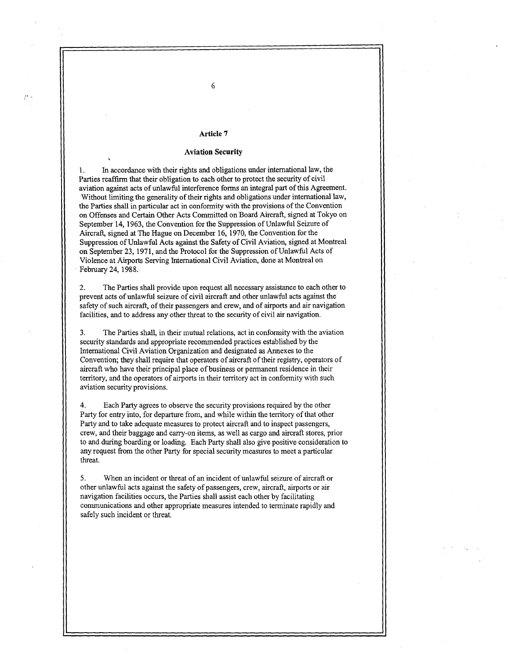# Aviation Security

1 . In accordance with their rights and obligations under international law, the Parties reaffirm that their obligation to each other to protect the security of civil aviation against acts of unlawful interference forms an integral part of this Agreement. Without limiting the generality of their rights and obligations under international law, the Parties shall in particular act in conformity with the provisions of the Convention on Offenses and Certain Other Acts Committed on Board Aircraft, signed at Tokyo on September 14, 1963, the Convention for the Suppression of Unlawful Seizure of Aircraft, signed at The Hague on December 16, 1970, the Convention for the Suppression of Unlawful Acts against the Safety of Civil Aviation, signed at Montreal on September 23, 1971, and the Protocol for the Suppression of Unlawful Acts of Violence at Airports Serving International Civil Aviation, done at Montreal on February 24, 1988.

2 . The Parties shall provide upon request all necessary assistance to each other to prevent acts of unlawful seizure of civil aircraft and other unlawful acts against the safety of such aircraft, of their passengers and crew, and of airports and air navigation facilities, and to address any other threat to the security of civil air navigation.

3 . The Parties shall, in their mutual relations, act in conformity with the aviation security standards and appropriate recommended practices established by the International Civil Aviation Organization and designated as Annexes to the Convention; they shall require that operators of aircraft of their registry, operators of aircraft who have their principal place of business or permanent residence in their territory, and the operators of airports in their territory act in conformity with such aviation security provisions .

4 . Each Party agrees to observe the security provisions required by the other Party for entry into, for departure from, and while within the territory of that other Party and to take adequate measures to protect aircraft and to inspect passengers, crew, and their baggage and carry-on items, as well as cargo and aircraft stores, prior to and during boarding or loading . Each Party shall also give positive consideration to any request from the other Party for special security measures to meet a particular threat.

5 . When an incident or threat of an incident of unlawful seizure of aircraft or other unlawful acts against the safety of passengers, crew, aircraft, airports or air navigation facilities occurs, the Parties shall assist each other by facilitating communications and other appropriate measures intended to terminate rapidly and safely such incident or threat.

6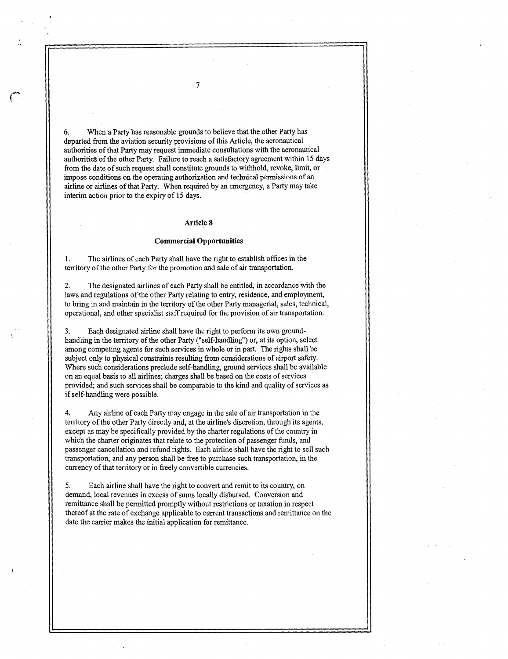6 . When a Party has reasonable grounds to believe that the other Party has departed from the aviation security provisions of this Article, the aeronautical authorities of that Party may request immediate consultations with the aeronautical authorities of the other Party. Failure to reach a satisfactory agreement within 15 days from the date of such request shall constitute grounds to withhold, revoke, limit, or impose conditions on the operating authorization and technical permissions of an airline or airlines of that Party. When required by an emergency, a Party may take interim action prior to the expiry of 15 days.

7

 

## Article 8

## Commercial Opportunities

1. The airlines of each Party shall have the right to establish offices in the territory of the other Party for the promotion and sale of air transportation .

2 . The designated airlines of each Party shall be entitled, in accordance with the laws and regulations of the other Party relating to entry, residence, and employment, to bring in and maintain in the territory of the other Party managerial, sales, technical, operational, and other specialist staff required for the provision of air transportation .

3 . Each designated airline shall have the right to perform its own groundhandling in the territory of the other Party ("self-handling") or, at its option, select among competing agents for such services in whole or in part. The rights shall be subject only to physical constraints resulting from considerations of airport safety . Where such considerations preclude self-handling, ground services shall be available on an equal basis to all airlines; charges shall be based on the costs of services provided; and such services shall be comparable to the kind and quality of services as if self-handling were possible .

4 . Any airline of each Party may engage in the sale of air transportation in the territory of the other Party directly and, at the airline's discretion, through its agents, except as may be specifically provided by the charter regulations of the country in which the charter originates that relate to the protection of passenger funds, and passenger cancellation and refund rights . Each airline shall have the right to sell such transportation, and any person shall be free to purchase such transportation, in the currency of that territory or in freely convertible currencies .

5 . Each airline shall have the right to convert and remit to its country, on demand, local revenues in excess of sums locally disbursed. Conversion and remittance shall be permitted promptly without restrictions or taxation in respect thereof at the rate of exchange applicable to current transactions and remittance on the date the carrier makes the initial application for remittance .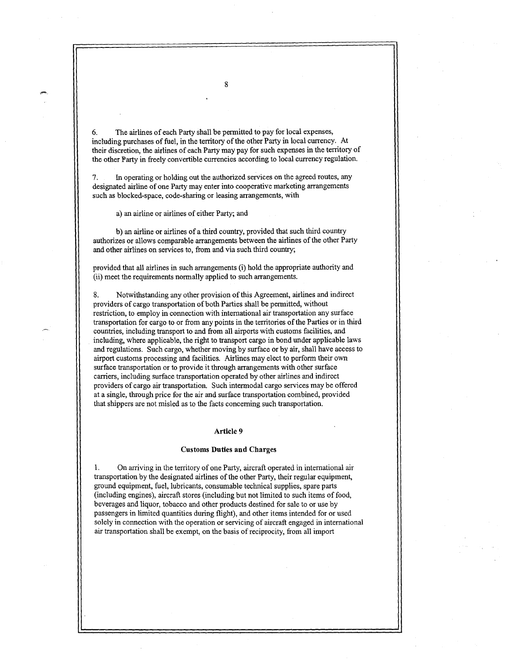6 . The airlines of each Party shall be permitted to pay for local expenses, including purchases of fuel, in the territory of the other Party in local currency . At their discretion, the airlines of each Party may pay for such expenses in the territory of the other Party in freely convertible currencies according to local currency regulation .

7 . In operating or holding out the authorized services on the agreed routes, any designated airline of one Party may enter into cooperative marketing arrangements such as blocked-space, code-sharing or leasing arrangements, with

a) an airline or airlines of either Party; and

 

b) an airline or airlines of a third country, provided that such third country authorizes or allows comparable arrangements between the airlines of the other Party and other airlines on services to, from and via such third country;

provided that all airlines in such arrangements (i) hold the appropriate authority and (ii) meet the requirements normally applied to such arrangements .

8 . Notwithstanding any other provision of this Agreement, airlines and indirect providers of cargo transportation of both Parties shall be permitted, without restriction, to employ in connection with international air transportation any surface transportation for cargo to or from any points in the territories of the Parties or in third countries, including transport to and from all airports with customs facilities, and including, where applicable, the right to transport cargo in bond under applicable laws and regulations . Such cargo, whether moving by surface or by air, shall have access to airport customs processing and facilities . Airlines may elect to perform their own surface transportation or to provide it through arrangements with other surface carriers, including surface transportation operated by other airlines and indirect providers of cargo air transportation. Such intermodal cargo services may be offered at a single, through price for the air and surface transportation combined, provided that shippers are not misled as to the facts concerning such transportation .

## Article 9

## Customs Duties and Charges

1. On arriving in the territory of one Party, aircraft operated in international air transportation by the designated airlines of the other Party, their regular equipment, ground equipment, fuel, lubricants, consumable technical supplies, spare parts (including engines), aircraft stores (including but not limited to such items of food, beverages and liquor, tobacco and other products destined for sale to or use by passengers in limited quantities during flight), and other items intended for or used solely in connection with the operation or servicing of aircraft engaged in international air transportation shall be exempt, on the basis of reciprocity, from all import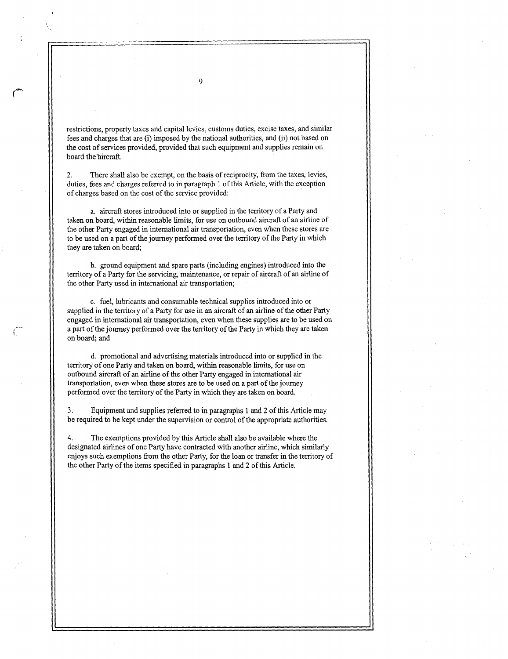restrictions, property taxes and capital levies, customs duties, excise taxes, and similar fees and charges that are (i) imposed by the national authorities, and (ii) not based on the cost of services provided, provided that such equipment and supplies remain on board the *aircraft*.

9

 

2. There shall also be exempt, on the basis of reciprocity, from the taxes, levies, duties, fees and charges referred to in paragraph 1 of this Article, with the exception of charges based on the cost of the service provided :

a. aircraft stores introduced into or supplied in the territory of a Party and taken on board, within reasonable limits, for use on outbound aircraft of an airline of the other Party engaged in international air transportation, even when these stores are to be used on a part of the journey performed over the territory of the Party in which they are taken on board;

b. ground equipment and spare parts (including engines) introduced into the territory of a Party for the servicing, maintenance, or repair of aircraft of an airline of the other Party used in international air transportation;

c . fuel, lubricants and consumable technical supplies introduced into or supplied in the territory of a Party for use in an aircraft of an airline of the other Party engaged in international air transportation, even when these supplies are to be used on a part of the journey performed over the territory of the Party in which they are taken on board; and

d. promotional and advertising materials introduced into or supplied in the territory of one Party and taken on board, within reasonable limits, for use on outbound aircraft of an airline of the other Party engaged in international air transportation, even when these stores are to be used on a part of the journey performed over the territory of the Party in which they are taken on board.

3 . Equipment and supplies referred to in paragraphs I and 2 of this Article may be required to be kept under the supervision or control of the appropriate authorities .

4 . The exemptions provided by this Article shall also be available where the designated airlines of one Party have contracted with another airline, which similarly enjoys such exemptions from the other Party, for the loan or transfer in the territory of the other Party of the items specified in paragraphs I and 2 of this Article .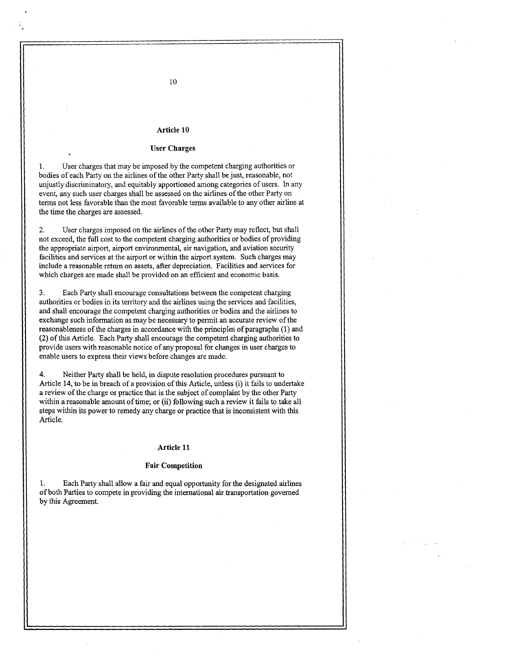## User Charges

1. User charges that may be imposed by the competent charging authorities or bodies of each Party on the airlines of the other Party shall be just, reasonable, not unjustly discriminatory, and equitably apportioned among categories of users. In any event, any such user charges shall be assessed on the airlines of the other Party on terms not less favorable than the most favorable terms available to any other airline at the time the charges are assessed .

2. User charges imposed on the airlines of the other Party may reflect, but shall not exceed, the full cost to the competent charging authorities or bodies of providing the appropriate airport, airport environmental, air navigation, and aviation security facilities and services at the airport or within the airport system . Such charges may include a reasonable return on assets, after depreciation . Facilities and services for which charges are made shall be provided on an efficient and economic basis.

3 . Each Party shall encourage consultations between the competent charging authorities or bodies in its territory and the airlines using the services and facilities, and shall encourage the competent charging authorities or bodies and the airlines to exchange such information as may be necessary to permit an accurate review of the reasonableness of the charges in accordance with the principles of paragraphs (1) and (2) of this Article. Each Party shall encourage the competent charging authorities to provide users with reasonable notice of any proposal for changes in user charges to enable users to express their views before changes are made .

4 . Neither Party shall be held, in dispute resolution procedures pursuant to Article 14, to be in breach of a provision of this Article, unless (i) it fails to undertake a review of the charge or practice that is the subject of complaint by the other Party within a reasonable amount of time; or (ii) following such a review it fails to take all steps within its power to remedy any charge or practice that is inconsistent with this Article.

#### Article 11

#### Fair Competition

1 . Each Party shall allow a fair and equal opportunity for the designated airlines of both Parties to compete in providing the international air transportation governed by this Agreement.

10

 $\frac{1}{2}$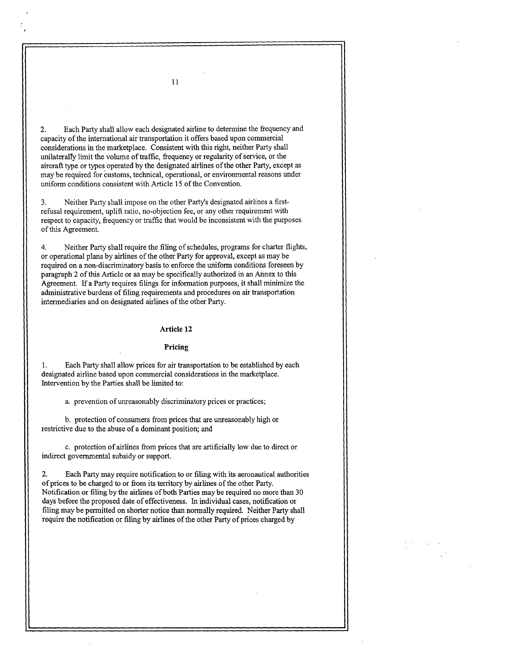2. Each Party shall allow each designated airline to determine the frequency and capacity of the international air transportation it offers based upon commercial considerations in the marketplace . Consistent with this right, neither Party shall unilaterally limit the volume of traffic, frequency or regularity of service, or the aircraft type or types operated by the designated airlines of the other Party, except as may be required for customs, technical, operational, or environmental reasons under uniform conditions consistent with Article 15 of the Convention.

3 . Neither Party shall impose on the other Party's designated airlines a firstrefusal requirement, uplift ratio, no-objection fee, or any other requirement with respect to capacity, frequency or traffic that would be inconsistent with the purposes of this Agreement.

4. Neither Party shall require the filing of schedules, programs for charter flights, or operational plans by airlines of the other Party for approval, except as may be required on a non-discriminatory basis to enforce the uniform conditions foreseen by paragraph 2 of this Article or as may be specifically authorized in an Annex to this Agreement. If a Party requires filings for information purposes, it shall minimize the administrative burdens of filing requirements and procedures on air transportation intermediaries and on designated airlines of the other Party.

#### Article 12

#### Pricing

1. Each Party shall allow prices for air transportation to be established by each designated airline based upon commercial considerations in the marketplace. Intervention by the Parties shall be limited to :

a. prevention of unreasonably discriminatory prices or practices;

b. protection of consumers from prices that are unreasonably high or restrictive due to the abuse of a dominant position; and

c . protection of airlines from prices that are artificially low due to direct or indirect governmental subsidy or support.

2 . Each Party may require notification to or filing with its aeronautical authorities of prices to be charged to or from its territory by airlines of the other Party . Notification or filing by the airlines of both Parties may be required no more than 30 days before the proposed date of effectiveness. In individual cases, notification or filing may be permitted on shorter notice than normally required. Neither Party shall require the notification or filing by airlines of the other Party of prices charged by

**11** 

 $\frac{1}{2} \sum_{i=1}^{n} \frac{1}{2} \sum_{j=1}^{n} \frac{1}{2} \sum_{j=1}^{n} \frac{1}{2} \sum_{j=1}^{n} \frac{1}{2} \sum_{j=1}^{n} \frac{1}{2} \sum_{j=1}^{n} \frac{1}{2} \sum_{j=1}^{n} \frac{1}{2} \sum_{j=1}^{n} \frac{1}{2} \sum_{j=1}^{n} \frac{1}{2} \sum_{j=1}^{n} \frac{1}{2} \sum_{j=1}^{n} \frac{1}{2} \sum_{j=1}^{n} \frac{1}{2} \sum_{j=1}^{n$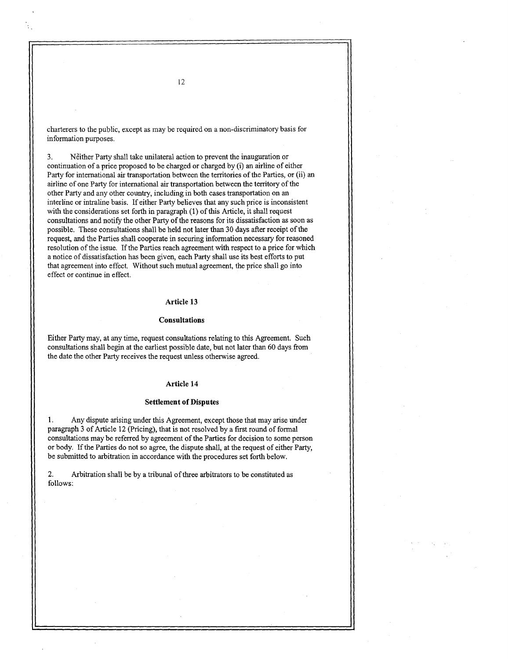$12$ 

 $\label{eq:2} \begin{split} \mathcal{L}_{\text{max}} &= \frac{1}{2} \sum_{i=1}^{N_{\text{max}}} \mathcal{L}_{\text{max}} \\ & \times \sum_{i=1}^{N_{\text{max}}} \mathcal{L}_{\text{max}} \\ & \times \mathcal{L}_{\text{max}} \\ & \times \mathcal{L}_{\text{max}} \\ & \times \mathcal{L}_{\text{max}} \\ & \times \mathcal{L}_{\text{max}} \\ & \times \mathcal{L}_{\text{max}} \\ & \times \mathcal{L}_{\text{max}} \\ & \times \mathcal{L}_{\text{max}} \\ & \times \mathcal{L}_{\text{max}} \\ & \times \mathcal{L}_{\text{$ 

charterers to the public, except as may be required on a non-discriminatory basis for information purposes .

3 . Neither Party shall take unilateral action to prevent the inauguration or continuation of a price proposed to be charged or charged by (i) an airline of either Party for international air transportation between the territories of the Parties, or (ii) an airline of one Party for international air transportation between the territory of the other Party and any other country, including in both cases transportation on an interline or intraline basis . If either Party believes that any such price is inconsistent with the considerations set forth in paragraph (1) of this Article, it shall request consultations and notify the other Party of the reasons for its dissatisfaction as soon as possible. These consultations shall be held not later than 30 days after receipt of the request, and the Parties shall cooperate in securing information necessary for reasoned resolution of the issue. If the Parties reach agreement with respect to a price for which a notice of dissatisfaction has been given, each Party shall use its best efforts to put that agreement into effect. Without such mutual agreement, the price shall go into effect or continue in effect.

# Article 13

## Consultations

Either Party may, at any time, request consultations relating to this Agreement. Such consultations shall begin at the earliest possible date, but not later than 60 days from the date the other Party receives the request unless otherwise agreed .

## Article 14

## Settlement of Disputes

1 . Any dispute arising under this Agreement, except those that may arise under paragraph 3 of Article 12 (Pricing), that is not resolved by a first round of formal consultations may be referred by agreement of the Parties for decision to some person or body. If the Parties do not so agree, the dispute shall, at the request of either Party, be submitted to arbitration in accordance with the procedures set forth below .

2. Arbitration shall be by a tribunal of three arbitrators to be constituted as follows: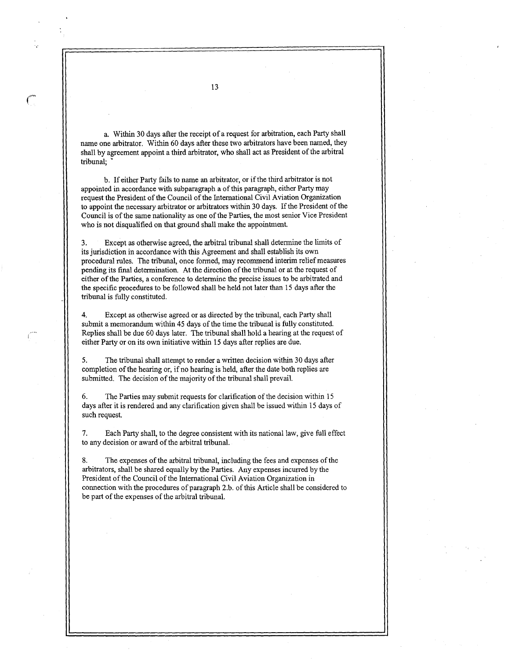a. Within 30 days after the receipt of a request for arbitration, each Party shall name one arbitrator. Within 60 days after these two arbitrators have been named, they shall by agreement appoint a third arbitrator, who shall act as President of the arbitral tribunal:

b . If either Party fails to name an arbitrator, or if the third arbitrator is not appointed in accordance with subparagraph a of this paragraph, either Party may request the President of the Council of the International Civil Aviation Organization to appoint the necessary arbitrator or arbitrators within 30 days . If the President of the Council is of the same nationality as one of the Parties, the most senior Vice President who is not disqualified on that ground shall make the appointment.

3 . Except as otherwise agreed, the arbitral tribunal shall determine the limits of its jurisdiction in accordance with this Agreement and shall establish its own procedural rules. The tribunal, once formed, may recommend interim relief measures pending its final determination. At the direction of the tribunal or at the request of either of the Parties, a conference to determine the precise issues to be arbitrated and the specific procedures to be followed shall be held not later than 15 days after the tribunal is fully constituted .

4. Except as otherwise agreed or as directed by the tribunal, each Party shall submit a memorandum within 45 days of the time the tribunal is fully constituted. Replies shall be due 60 days later. The tribunal shall hold a hearing at the request of either Party or on its own initiative within 15 days after replies are due .

5 . The tribunal shall attempt to render a written decision within 30 days after completion of the hearing or, if no hearing is held, after the date both replies are submitted. The decision of the majority of the tribunal shall prevail.

6 . The Parties may submit requests for clarification of the decision within 15 days after it is rendered and any clarification given shall be issued within 15 days of such request.

7 . Each Party shall, to the degree consistent with its national law, give full effect to any decision or award of the arbitral tribunal.

8 . The expenses of the arbitral tribunal, including the fees and expenses of the arbitrators, shall be shared equally by the Parties . Any expenses incurred by the President of the Council of the International Civil Aviation Organization in connection with the procedures of paragraph 2 .b . of this Article shall be considered to be part of the expenses of the arbitral tribunal.

13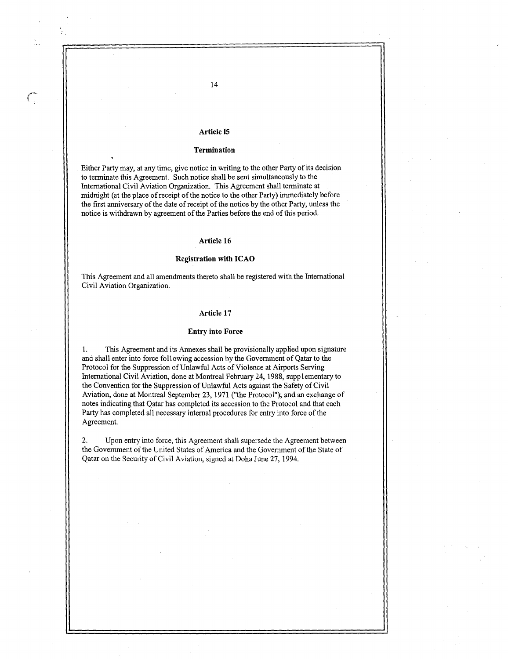## Termination

Either Party may, at any time, give notice in writing to the other Party of its decision to terminate this Agreement. Such notice shall be sent simultaneously to the International Civil Aviation Organization . This Agreement shall terminate at midnight (at the place of receipt of the notice to the other Party) immediately before the first anniversary of the date of receipt of the notice by the other Party, unless the notice is withdrawn by agreement of the Parties before the end of this period .

## Article 16

## Registration with ICAO

This Agreement and all amendments thereto shall be registered with the International Civil Aviation Organization.

## Article 17

#### Entry into Force

1 . This Agreement and its Annexes shall be provisionally applied upon signature and shall enter into force following accession by the Government of Qatar to the Protocol for the Suppression of Unlawful Acts of Violence at Airports Serving International Civil Aviation, done at Montreal February 24, 1988, supplementary to the Convention for the Suppression of Unlawful Acts against the Safety of Civil Aviation, done at Montreal September 23, 1971 ("the Protocol"); and an exchange of notes indicating that Qatar has completed its accession to the Protocol and that each Party has completed all necessary internal procedures for entry into force of the Agreement.

2 . Upon entry into force, this Agreement shall supersede the Agreement between the Government of the United States of America and the Government of the State of Qatar on the Security of Civil Aviation, signed at Doha June 27, 1994 .

14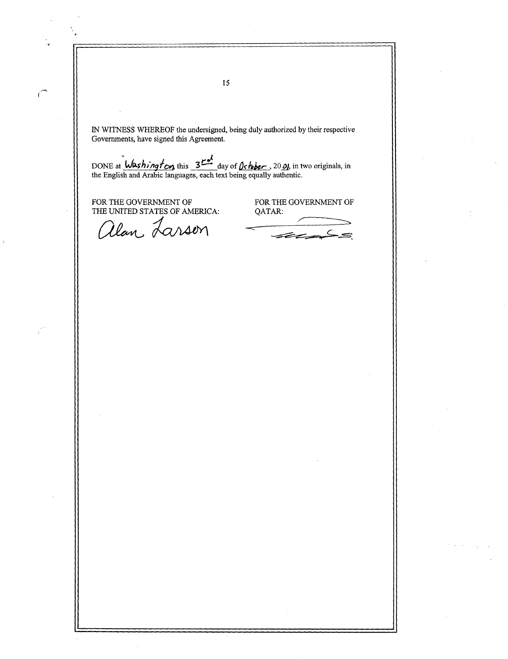IN WITNESS WHEREOF the undersigned, being duly authorized by their respective Governments, have signed this Agreement.

DONE at **WashingTon** this  $\frac{5}{4}$  day of *f* the set , 200*1*, in two originals, in the English and Arabic languages, each text being equally authentic .

FOR THE GOVERNMENT OF FOR THE GOVERNMENT OF THE UNITED STATES OF AMERICA: QATAR:

THE UNITED STATES OF AMERICA: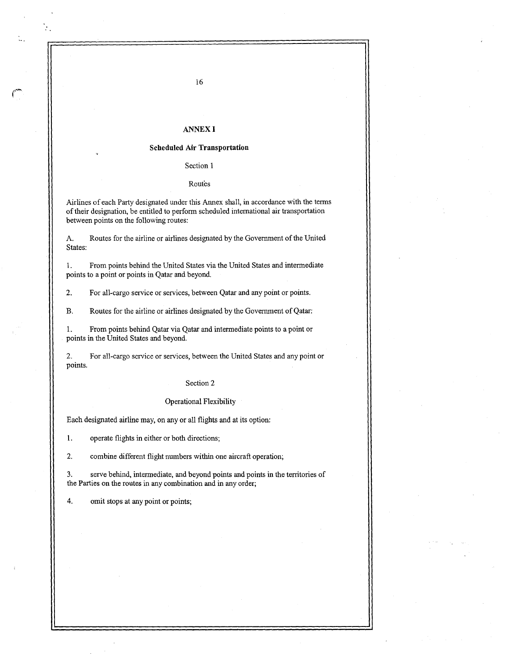# ANNEX I

# Scheduled Air Transportation

# Section 1

## Routes

Airlines of each Party designated under this Annex shall, in accordance with the terms of their designation, be entitled to perform scheduled international air transportation between points on the following routes :

A. Routes for the airline or airlines designated by the Government of the United States:

1. From points behind the United States via the United States and intermediate points to a point or points in Qatar and beyond.

2. For all-cargo service or services, between Qatar and any point or points.

B. Routes for the airline or airlines designated by the Government of Qatar:

1. From points behind Qatar via Qatar and intermediate points to a point or points in the United States and beyond.

2. For all-cargo service or services, between the United States and any point or points.

## Section 2

## Operational Flexibility

Each designated airline may, on any or all flights and at its option :

1. operate flights in either or both directions;

2. combine different flight numbers within one aircraft operation;

3 . serve behind, intermediate, and beyond points and points in the territories of the Parties on the routes in any combination and in any order;

4. omit stops at any point or points;

16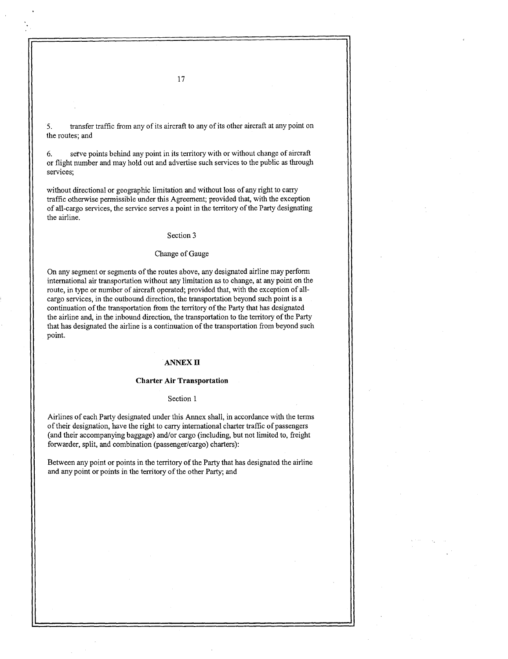5 . transfer traffic from any of its aircraft to any of its other aircraft at any point on the routes; and

6 . serve points behind any point in its territory with or without change of aircraft or flight number and may hold out and advertise such services to the public as through services;

without directional or geographic limitation and without loss of any right to carry traffic otherwise permissible under this Agreement; provided that, with the exception of all-cargo services, the service serves a point in the territory of the Party designating the airline.

#### Section 3

#### Change of Gauge

On any segment or segments of the routes above, any designated airline may perform international air transportation without any limitation as to change, at any point on the route, in type or number of aircraft operated; provided that, with the exception of allcargo services, in the outbound direction, the transportation beyond such point is a continuation of the transportation from the territory of the Party that has designated the airline and, in the inbound direction, the transportation to the territory of the Party that has designated the airline is a continuation of the transportation from beyond such point.

#### ANNEX II

## Charter Air Transportation

#### Section 1

Airlines of each Party designated under this Annex shall, in accordance with the terms of their designation, have the right to carry international charter traffic of passengers (and their accompanying baggage) and/or cargo (including, but not limited to, freight forwarder, split, and combination (passenger/cargo) charters) :

Between any point or points in the territory of the Party that has designated the airline and any point or points in the territory of the other Party; and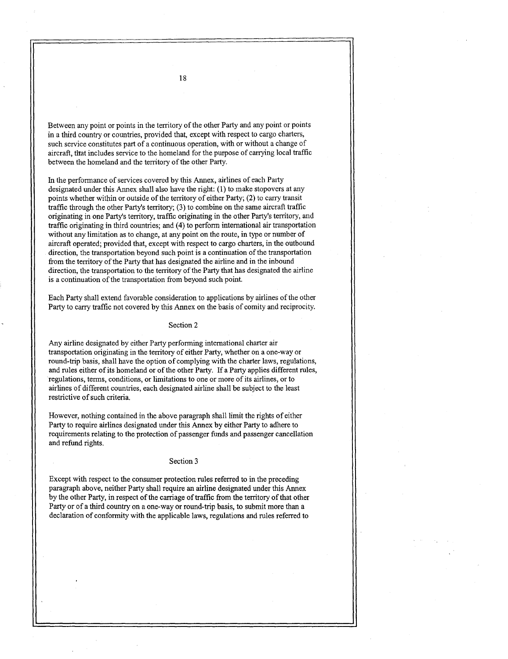Between any point or points in the territory of the other Party and any point or points in a third country or countries, provided that, except with respect to cargo charters, such service constitutes part of a continuous operation, with or without a change of aircraft, that includes service to the homeland for the purpose of carrying local traffic between the homeland and the territory of the other Party.

In the performance of services covered by this Annex, airlines of each Party designated under this Annex shall also have the right: (1) to make stopovers at any points whether within or outside of the territory of either Party; (2) to carry transit traffic through the other Party's territory; (3) to combine on the same aircraft traffic originating in one Party's territory, traffic originating in the other Party's territory, and traffic originating in third countries; and (4) to perform international air transportation without any limitation as to change, at any point on the route, in type or number of aircraft operated; provided that, except with respect to cargo charters, in the outbound direction, the transportation beyond such point is a continuation of the transportation from the territory of the Party that has designated the airline and in the inbound direction, the transportation to the territory of the Party that has designated the airline is a continuation of the transportation from beyond such point.

Each Party shall extend favorable consideration to applications by airlines of the other Party to carry traffic not covered by this Annex on the basis of comity and reciprocity .

#### Section 2

Any airline designated by either Party performing international charter air transportation originating in the territory of either Party, whether on a one-way or round-trip basis, shall have the option of complying with the charter laws, regulations, and rules either of its homeland or of the other Party. If a Party applies different rules, regulations, terms, conditions, or limitations to one or more of its airlines, or to airlines of different countries, each designated airline shall be subject to the least restrictive of such criteria .

However, nothing contained in the above paragraph shall limit the rights of either Party to require airlines designated under this Annex by either Party to adhere to requirements relating to the protection of passenger funds and passenger cancellation and refund rights.

#### Section 3

Except with respect to the consumer protection rules referred to in the preceding paragraph above, neither Party shall require an airline designated under this Annex by the other Party, in respect of the carriage of traffic from the territory of that other Party or of a third country on a one-way or round-trip basis, to submit more than a declaration of conformity with the applicable laws, regulations and rules referred to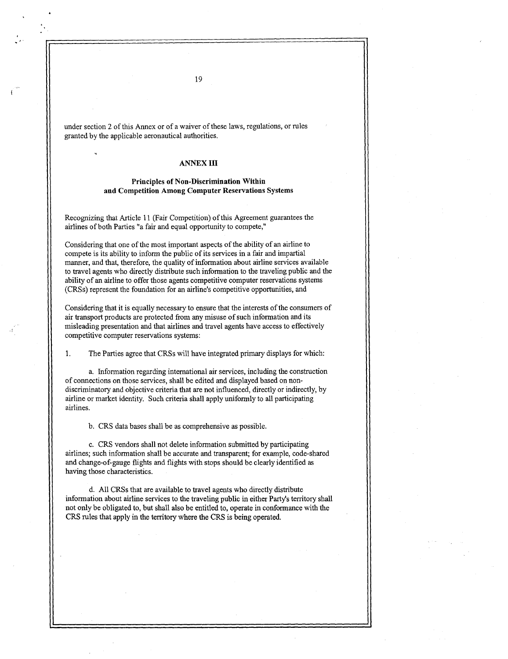under section 2 of this Annex or of a waiver of these laws, regulations, or rules granted by the applicable aeronautical authorities .

## ANNEX III

## Principles of Non-Discrimination Within and Competition Among Computer Reservations Systems

Recognizing that Article 11 (Fair Competition) of this Agreement guarantees the airlines of both Parties "a fair and equal opportunity to compete,"

Considering that one of the most important aspects of the ability of an airline to compete is its ability to inform the public of its services in a fair and impartial manner, and that, therefore, the quality of information about airline services available to travel agents who directly distribute such information to the traveling public and the ability of an airline to offer those agents competitive computer reservations systems (CRSs) represent the foundation for an airline's competitive opportunities, and

Considering that it is equally necessary to ensure that the interests of the consumers of air transport products are protected from any misuse of such information and its misleading presentation and that airlines and travel agents have access to effectively competitive computer reservations systems :

1. The Parties agree that CRSs will have integrated primary displays for which:

a . Information regarding international air services, including the construction of connections on those services, shall be edited and displayed based on nondiscriminatory and objective criteria that are not influenced, directly or indirectly, by airline or market identity. Such criteria shall apply uniformly to all participating airlines.

b. CRS data bases shall be as comprehensive as possible.

c . CRS vendors shall not delete information submitted by participating airlines; such information shall be accurate and transparent; for example, code-shared and change-of-gauge flights and flights with stops should be clearly identified as having those characteristics.

d. All CRSs that are available to travel agents who directly distribute information about airline services to the traveling public in either Party's territory shall not only be obligated to, but shall also be entitled to, operate in conformance with the CRS rules that apply in the territory where the CRS is being operated .